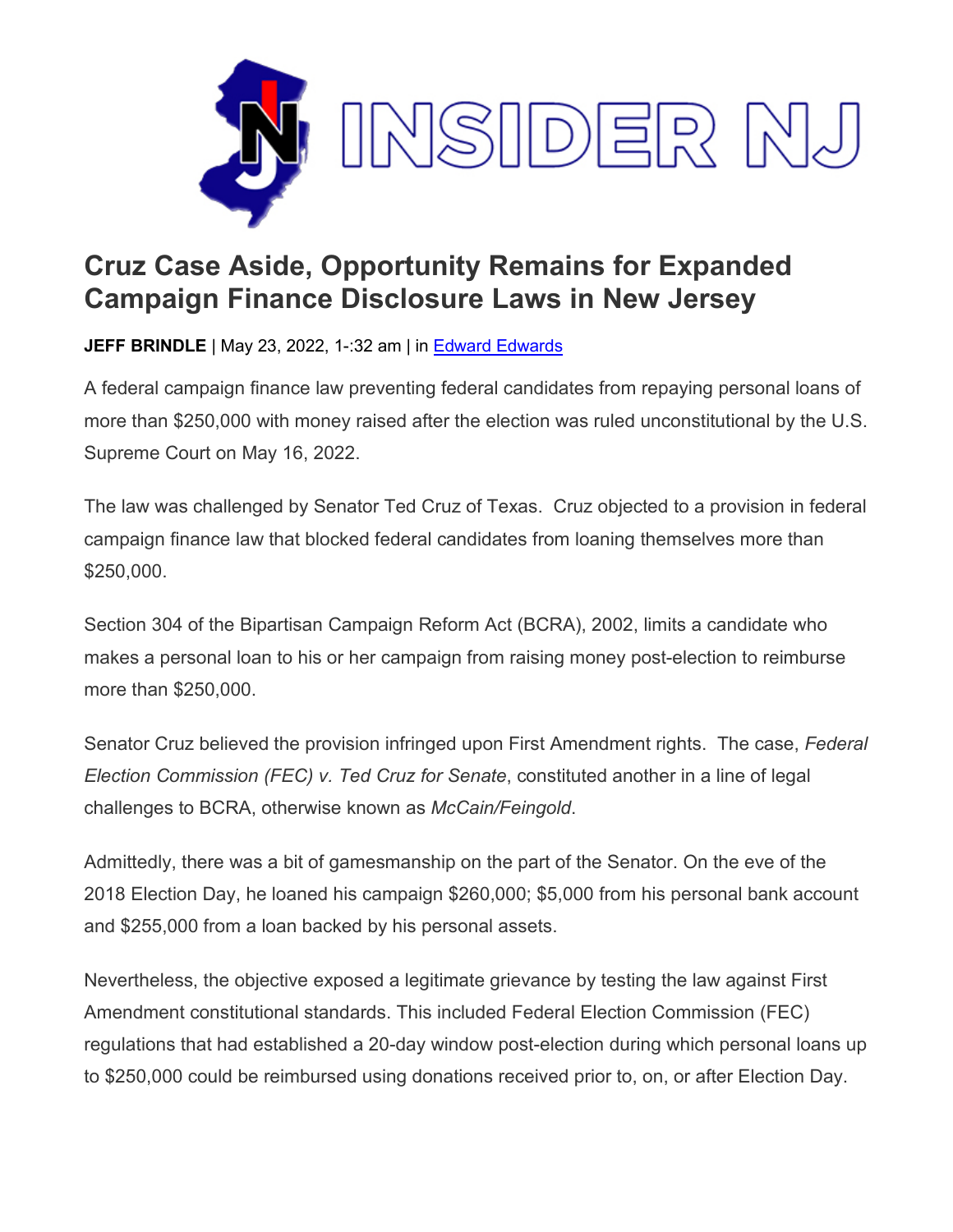

## **Cruz Case Aside, Opportunity Remains for Expanded Campaign Finance Disclosure Laws in New Jersey**

**JEFF BRINDLE** | May 23, 2022, 1-:32 am | in Edward [Edwards](https://www.insidernj.com/category/edward-edwards/)

A federal campaign finance law preventing federal candidates from repaying personal loans of more than \$250,000 with money raised after the election was ruled unconstitutional by the U.S. Supreme Court on May 16, 2022.

The law was challenged by Senator Ted Cruz of Texas. Cruz objected to a provision in federal campaign finance law that blocked federal candidates from loaning themselves more than \$250,000.

Section 304 of the Bipartisan Campaign Reform Act (BCRA), 2002, limits a candidate who makes a personal loan to his or her campaign from raising money post-election to reimburse more than \$250,000.

Senator Cruz believed the provision infringed upon First Amendment rights. The case, *Federal Election Commission (FEC) v. Ted Cruz for Senate*, constituted another in a line of legal challenges to BCRA, otherwise known as *McCain/Feingold*.

Admittedly, there was a bit of gamesmanship on the part of the Senator. On the eve of the 2018 Election Day, he loaned his campaign \$260,000; \$5,000 from his personal bank account and \$255,000 from a loan backed by his personal assets.

Nevertheless, the objective exposed a legitimate grievance by testing the law against First Amendment constitutional standards. This included Federal Election Commission (FEC) regulations that had established a 20-day window post-election during which personal loans up to \$250,000 could be reimbursed using donations received prior to, on, or after Election Day.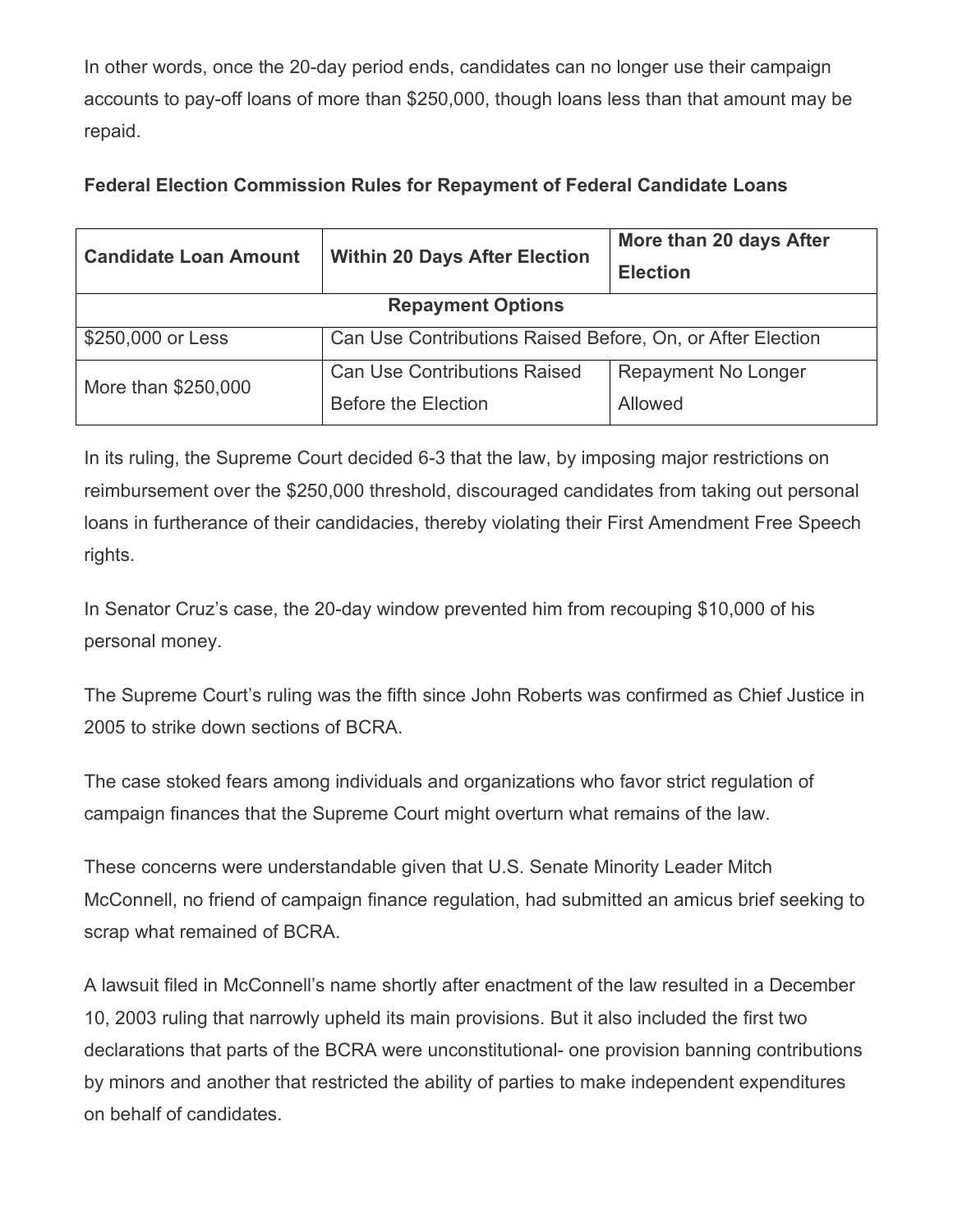In other words, once the 20-day period ends, candidates can no longer use their campaign accounts to pay-off loans of more than \$250,000, though loans less than that amount may be repaid.

## **Federal Election Commission Rules for Repayment of Federal Candidate Loans**

| <b>Candidate Loan Amount</b> | <b>Within 20 Days After Election</b>                       | More than 20 days After<br><b>Election</b> |
|------------------------------|------------------------------------------------------------|--------------------------------------------|
| <b>Repayment Options</b>     |                                                            |                                            |
| \$250,000 or Less            | Can Use Contributions Raised Before, On, or After Election |                                            |
| More than \$250,000          | <b>Can Use Contributions Raised</b>                        | Repayment No Longer                        |
|                              | Before the Election                                        | Allowed                                    |

In its ruling, the Supreme Court decided 6-3 that the law, by imposing major restrictions on reimbursement over the \$250,000 threshold, discouraged candidates from taking out personal loans in furtherance of their candidacies, thereby violating their First Amendment Free Speech rights.

In Senator Cruz's case, the 20-day window prevented him from recouping \$10,000 of his personal money.

The Supreme Court's ruling was the fifth since John Roberts was confirmed as Chief Justice in 2005 to strike down sections of BCRA.

The case stoked fears among individuals and organizations who favor strict regulation of campaign finances that the Supreme Court might overturn what remains of the law.

These concerns were understandable given that U.S. Senate Minority Leader Mitch McConnell, no friend of campaign finance regulation, had submitted an amicus brief seeking to scrap what remained of BCRA.

A lawsuit filed in McConnell's name shortly after enactment of the law resulted in a December 10, 2003 ruling that narrowly upheld its main provisions. But it also included the first two declarations that parts of the BCRA were unconstitutional- one provision banning contributions by minors and another that restricted the ability of parties to make independent expenditures on behalf of candidates.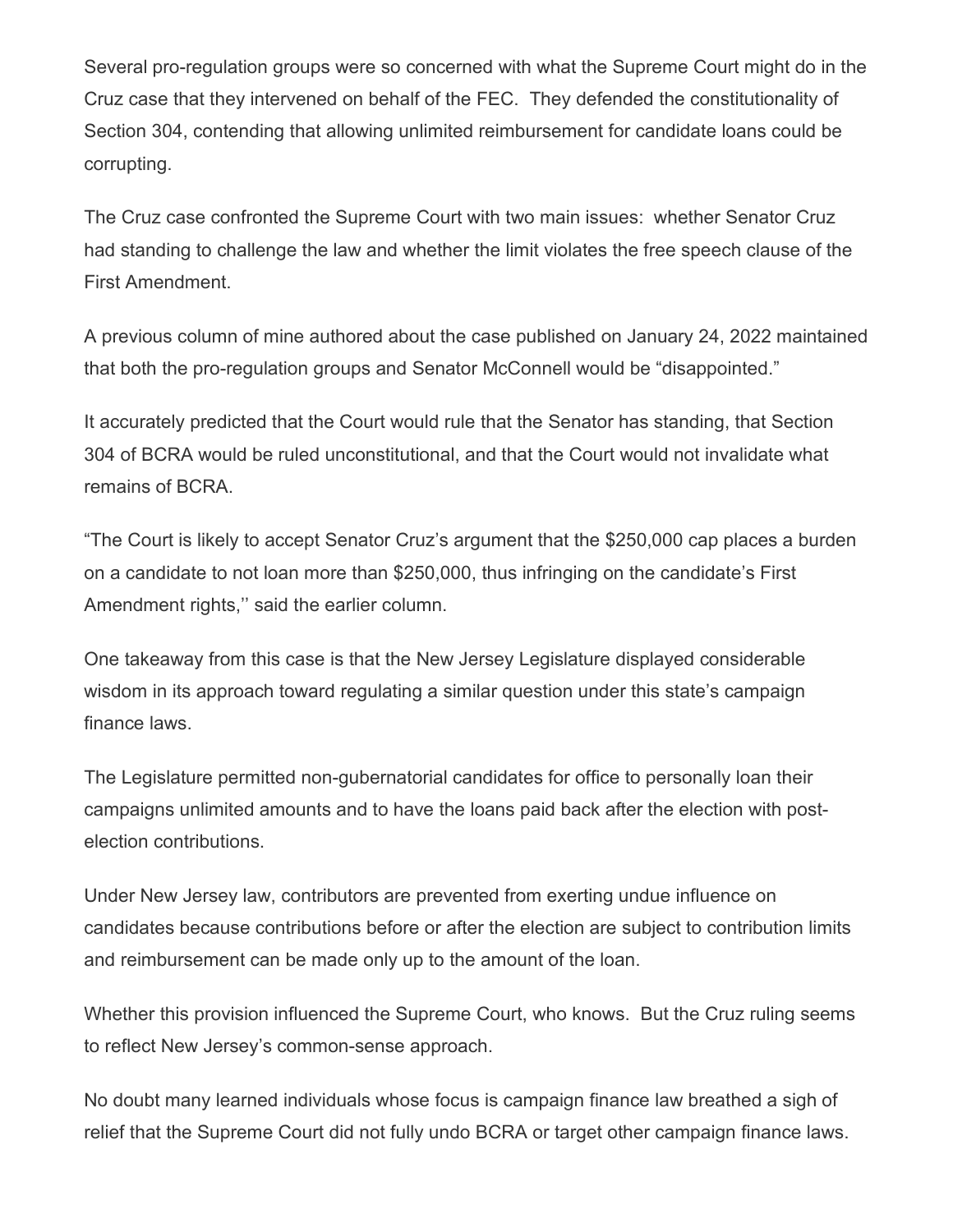Several pro-regulation groups were so concerned with what the Supreme Court might do in the Cruz case that they intervened on behalf of the FEC. They defended the constitutionality of Section 304, contending that allowing unlimited reimbursement for candidate loans could be corrupting.

The Cruz case confronted the Supreme Court with two main issues: whether Senator Cruz had standing to challenge the law and whether the limit violates the free speech clause of the First Amendment.

A previous column of mine authored about the case published on January 24, 2022 maintained that both the pro-regulation groups and Senator McConnell would be "disappointed."

It accurately predicted that the Court would rule that the Senator has standing, that Section 304 of BCRA would be ruled unconstitutional, and that the Court would not invalidate what remains of BCRA.

"The Court is likely to accept Senator Cruz's argument that the \$250,000 cap places a burden on a candidate to not loan more than \$250,000, thus infringing on the candidate's First Amendment rights,'' said the earlier column.

One takeaway from this case is that the New Jersey Legislature displayed considerable wisdom in its approach toward regulating a similar question under this state's campaign finance laws.

The Legislature permitted non-gubernatorial candidates for office to personally loan their campaigns unlimited amounts and to have the loans paid back after the election with postelection contributions.

Under New Jersey law, contributors are prevented from exerting undue influence on candidates because contributions before or after the election are subject to contribution limits and reimbursement can be made only up to the amount of the loan.

Whether this provision influenced the Supreme Court, who knows. But the Cruz ruling seems to reflect New Jersey's common-sense approach.

No doubt many learned individuals whose focus is campaign finance law breathed a sigh of relief that the Supreme Court did not fully undo BCRA or target other campaign finance laws.